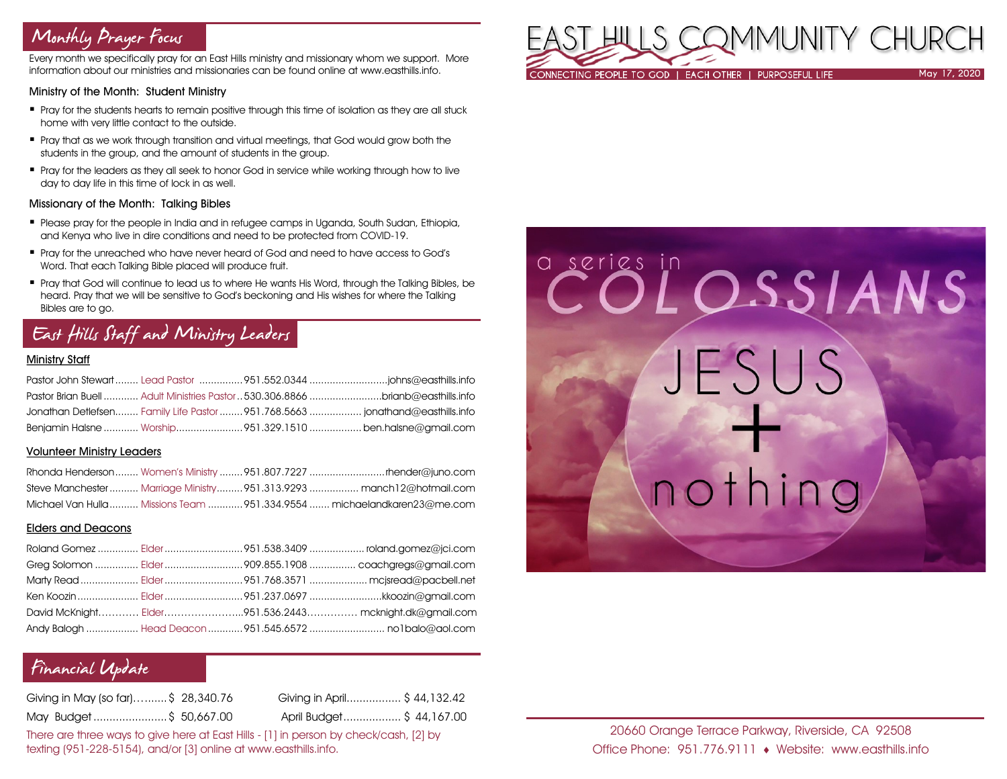## Monthly Prayer Focus

Every month we specifically pray for an East Hills ministry and missionary whom we support. More information about our ministries and missionaries can be found online at www.easthills.info.

### Ministry of the Month: Student Ministry

- Pray for the students hearts to remain positive through this time of isolation as they are all stuck home with very little contact to the outside.
- Pray that as we work through transition and virtual meetings, that God would grow both the students in the group, and the amount of students in the group.
- Pray for the leaders as they all seek to honor God in service while working through how to live day to day life in this time of lock in as well.

### Missionary of the Month: Talking Bibles

- Please pray for the people in India and in refugee camps in Uganda, South Sudan, Ethiopia, and Kenya who live in dire conditions and need to be protected from COVID-19.
- Pray for the unreached who have never heard of God and need to have access to God's Word. That each Talking Bible placed will produce fruit.
- Pray that God will continue to lead us to where He wants His Word, through the Talking Bibles, be heard. Pray that we will be sensitive to God's beckoning and His wishes for where the Talking Bibles are to go.

# East Hills Staff and Ministry Leaders

### Ministry Staff

| Pastor Brian Buell  Adult Ministries Pastor 530.306.8866 brianb@easthills.info |  |
|--------------------------------------------------------------------------------|--|
| Jonathan Detlefsen Family Life Pastor  951.768.5663  jonathand@easthills.info  |  |
| Benjamin Halsne  Worship951.329.1510  ben.halsne@gmail.com                     |  |

### Volunteer Ministry Leaders

|  | Steve Manchester Marriage Ministry 951.313.9293  manch12@hotmail.com     |
|--|--------------------------------------------------------------------------|
|  | Michael Van Hulla  Missions Team  951.334.9554  michaelandkaren23@me.com |

### Elders and Deacons

|  | Ken Koozin  Elder 951.237.0697 kkoozin@gmail.com        |
|--|---------------------------------------------------------|
|  | David McKnight Elder951.536.2443 mcknight.dk@gmail.com  |
|  | Andy Balogh  Head Deacon  951.545.6572  no1balo@aol.com |

## Financial Update

| Giving in May (so far)\$ 28,340.76 | Giving in April\$ 44,132.42 |  |
|------------------------------------|-----------------------------|--|
| May Budget\$ 50,667.00             | April Budget \$ 44,167.00   |  |

There are three ways to give here at East Hills - [1] in person by check/cash, [2] by texting (951-228-5154), and/or [3] online at www.easthills.info.